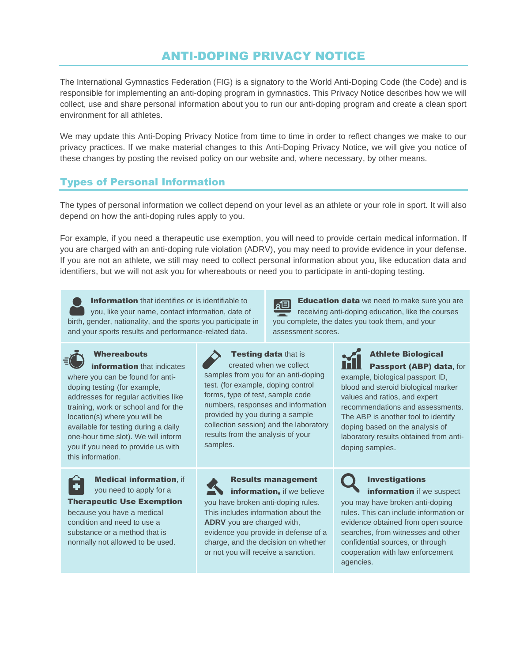# ANTI-DOPING PRIVACY NOTICE

The International Gymnastics Federation (FIG) is a signatory to the World Anti-Doping Code (the Code) and is responsible for implementing an anti-doping program in gymnastics. This Privacy Notice describes how we will collect, use and share personal information about you to run our anti-doping program and create a clean sport environment for all athletes.

We may update this Anti-Doping Privacy Notice from time to time in order to reflect changes we make to our privacy practices. If we make material changes to this Anti-Doping Privacy Notice, we will give you notice of these changes by posting the revised policy on our website and, where necessary, by other means.

# Types of Personal Information

The types of personal information we collect depend on your level as an athlete or your role in sport. It will also depend on how the anti-doping rules apply to you.

For example, if you need a therapeutic use exemption, you will need to provide certain medical information. If you are charged with an anti-doping rule violation (ADRV), you may need to provide evidence in your defense. If you are not an athlete, we still may need to collect personal information about you, like education data and identifiers, but we will not ask you for whereabouts or need you to participate in anti-doping testing.

**Information** that identifies or is identifiable to you, like your name, contact information, date of birth, gender, nationality, and the sports you participate in and your sports results and performance-related data.

# **Whereabouts**

information that indicates where you can be found for antidoping testing (for example, addresses for regular activities like training, work or school and for the location(s) where you will be available for testing during a daily one-hour time slot). We will inform you if you need to provide us with this information.



Medical information, if you need to apply for a

Therapeutic Use Exemption

because you have a medical condition and need to use a substance or a method that is normally not allowed to be used.



**Testing data that is** created when we collect samples from you for an anti-doping test. (for example, doping control forms, type of test, sample code numbers, responses and information provided by you during a sample collection session) and the laboratory results from the analysis of your samples.

Results management information, if we believe you have broken anti-doping rules. This includes information about the **ADRV** you are charged with, evidence you provide in defense of a charge, and the decision on whether or not you will receive a sanction.





### Athlete Biological Passport (ABP) data, for

example, biological passport ID, blood and steroid biological marker values and ratios, and expert recommendations and assessments. The ABP is another tool to identify doping based on the analysis of laboratory results obtained from antidoping samples.

information if we suspect you may have broken anti-doping rules. This can include information or evidence obtained from open source searches, from witnesses and other confidential sources, or through cooperation with law enforcement agencies.

Investigations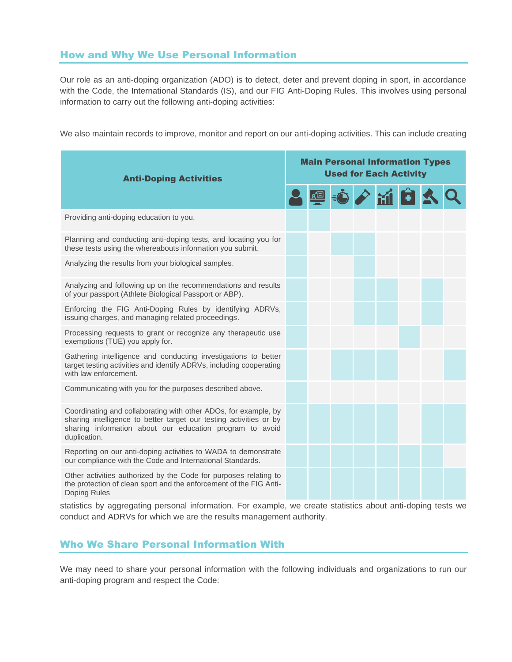### How and Why We Use Personal Information

Our role as an anti-doping organization (ADO) is to detect, deter and prevent doping in sport, in accordance with the Code, the International Standards (IS), and our FIG Anti-Doping Rules. This involves using personal information to carry out the following anti-doping activities:

We also maintain records to improve, monitor and report on our anti-doping activities. This can include creating

| <b>Anti-Doping Activities</b>                                                                                                                                                                                     | <b>Main Personal Information Types</b><br><b>Used for Each Activity</b> |             |  |  |  |  |  |  |
|-------------------------------------------------------------------------------------------------------------------------------------------------------------------------------------------------------------------|-------------------------------------------------------------------------|-------------|--|--|--|--|--|--|
|                                                                                                                                                                                                                   |                                                                         | ■ 心 / 通 白 人 |  |  |  |  |  |  |
| Providing anti-doping education to you.                                                                                                                                                                           |                                                                         |             |  |  |  |  |  |  |
| Planning and conducting anti-doping tests, and locating you for<br>these tests using the whereabouts information you submit.                                                                                      |                                                                         |             |  |  |  |  |  |  |
| Analyzing the results from your biological samples.                                                                                                                                                               |                                                                         |             |  |  |  |  |  |  |
| Analyzing and following up on the recommendations and results<br>of your passport (Athlete Biological Passport or ABP).                                                                                           |                                                                         |             |  |  |  |  |  |  |
| Enforcing the FIG Anti-Doping Rules by identifying ADRVs,<br>issuing charges, and managing related proceedings.                                                                                                   |                                                                         |             |  |  |  |  |  |  |
| Processing requests to grant or recognize any therapeutic use<br>exemptions (TUE) you apply for.                                                                                                                  |                                                                         |             |  |  |  |  |  |  |
| Gathering intelligence and conducting investigations to better<br>target testing activities and identify ADRVs, including cooperating<br>with law enforcement.                                                    |                                                                         |             |  |  |  |  |  |  |
| Communicating with you for the purposes described above.                                                                                                                                                          |                                                                         |             |  |  |  |  |  |  |
| Coordinating and collaborating with other ADOs, for example, by<br>sharing intelligence to better target our testing activities or by<br>sharing information about our education program to avoid<br>duplication. |                                                                         |             |  |  |  |  |  |  |
| Reporting on our anti-doping activities to WADA to demonstrate<br>our compliance with the Code and International Standards.                                                                                       |                                                                         |             |  |  |  |  |  |  |
| Other activities authorized by the Code for purposes relating to<br>the protection of clean sport and the enforcement of the FIG Anti-<br>Doping Rules                                                            |                                                                         |             |  |  |  |  |  |  |

statistics by aggregating personal information. For example, we create statistics about anti-doping tests we conduct and ADRVs for which we are the results management authority.

## Who We Share Personal Information With

We may need to share your personal information with the following individuals and organizations to run our anti-doping program and respect the Code: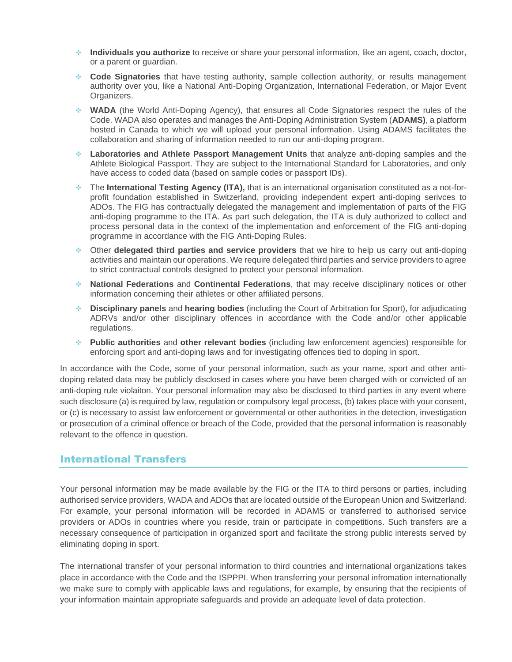- Feb 2021 ❖ **Individuals you authorize** to receive or share your personal information, like an agent, coach, doctor, or a parent or guardian.
- ❖ **Code Signatories** that have testing authority, sample collection authority, or results management authority over you, like a National Anti-Doping Organization, International Federation, or Major Event Organizers.
- ❖ **WADA** (the World Anti-Doping Agency), that ensures all Code Signatories respect the rules of the Code. WADA also operates and manages the Anti-Doping Administration System (**ADAMS)**, a platform hosted in Canada to which we will upload your personal information. Using ADAMS facilitates the collaboration and sharing of information needed to run our anti-doping program.
- ❖ **Laboratories and Athlete Passport Management Units** that analyze anti-doping samples and the Athlete Biological Passport. They are subject to the International Standard for Laboratories, and only have access to coded data (based on sample codes or passport IDs).
- ❖ The **International Testing Agency (ITA),** that is an international organisation constituted as a not-forprofit foundation established in Switzerland, providing independent expert anti-doping serivces to ADOs. The FIG has contractually delegated the management and implementation of parts of the FIG anti-doping programme to the ITA. As part such delegation, the ITA is duly authorized to collect and process personal data in the context of the implementation and enforcement of the FIG anti-doping programme in accordance with the FIG Anti-Doping Rules.
- ❖ Other **delegated third parties and service providers** that we hire to help us carry out anti-doping activities and maintain our operations. We require delegated third parties and service providers to agree to strict contractual controls designed to protect your personal information.
- ❖ **National Federations** and **Continental Federations**, that may receive disciplinary notices or other information concerning their athletes or other affiliated persons.
- ❖ **Disciplinary panels** and **hearing bodies** (including the Court of Arbitration for Sport), for adjudicating ADRVs and/or other disciplinary offences in accordance with the Code and/or other applicable regulations.
- ❖ **Public authorities** and **other relevant bodies** (including law enforcement agencies) responsible for enforcing sport and anti-doping laws and for investigating offences tied to doping in sport.

In accordance with the Code, some of your personal information, such as your name, sport and other antidoping related data may be publicly disclosed in cases where you have been charged with or convicted of an anti-doping rule violaiton. Your personal information may also be disclosed to third parties in any event where such disclosure (a) is required by law, regulation or compulsory legal process, (b) takes place with your consent, or (c) is necessary to assist law enforcement or governmental or other authorities in the detection, investigation or prosecution of a criminal offence or breach of the Code, provided that the personal information is reasonably relevant to the offence in question.

#### International Transfers

Your personal information may be made available by the FIG or the ITA to third persons or parties, including authorised service providers, WADA and ADOs that are located outside of the European Union and Switzerland. For example, your personal information will be recorded in ADAMS or transferred to authorised service providers or ADOs in countries where you reside, train or participate in competitions. Such transfers are a necessary consequence of participation in organized sport and facilitate the strong public interests served by eliminating doping in sport.

The international transfer of your personal information to third countries and international organizations takes place in accordance with the Code and the ISPPPI. When transferring your personal infromation internationally we make sure to comply with applicable laws and regulations, for example, by ensuring that the recipients of your information maintain appropriate safeguards and provide an adequate level of data protection.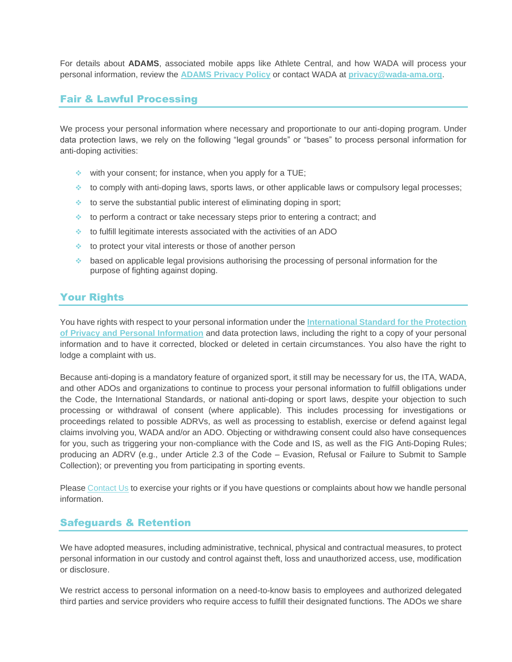For details about **ADAMS**, associated mobile apps like Athlete Central, and how WADA will process your personal information, review the **[ADAMS Privacy Policy](https://adams-help.wada-ama.org/hc/en-us/articles/360012071820-ADAMS-Privacy-Policy)** or contact WADA at **[privacy@wada-ama.org](mailto:privacy@wada-ama.org)**.

### Fair & Lawful Processing

We process your personal information where necessary and proportionate to our anti-doping program. Under data protection laws, we rely on the following "legal grounds" or "bases" to process personal information for anti-doping activities:

- ❖ with your consent; for instance, when you apply for a TUE;
- $\bullet$  to comply with anti-doping laws, sports laws, or other applicable laws or compulsory legal processes;
- ❖ to serve the substantial public interest of eliminating doping in sport;
- ❖ to perform a contract or take necessary steps prior to entering a contract; and
- ❖ to fulfill legitimate interests associated with the activities of an ADO
- ❖ to protect your vital interests or those of another person
- ❖ based on applicable legal provisions authorising the processing of personal information for the purpose of fighting against doping.

## Your Rights

You have rights with respect to your personal information under the **[International Standard for the Protection](https://www.wada-ama.org/en/resources/data-protection/international-standard-for-the-protection-of-privacy-and-personal)  of Privacy [and Personal Information](https://www.wada-ama.org/en/resources/data-protection/international-standard-for-the-protection-of-privacy-and-personal)** and data protection laws, including the right to a copy of your personal information and to have it corrected, blocked or deleted in certain circumstances. You also have the right to lodge a complaint with us.

Because anti-doping is a mandatory feature of organized sport, it still may be necessary for us, the ITA, WADA, and other ADOs and organizations to continue to process your personal information to fulfill obligations under the Code, the International Standards, or national anti-doping or sport laws, despite your objection to such processing or withdrawal of consent (where applicable). This includes processing for investigations or proceedings related to possible ADRVs, as well as processing to establish, exercise or defend against legal claims involving you, WADA and/or an ADO. Objecting or withdrawing consent could also have consequences for you, such as triggering your non-compliance with the Code and IS, as well as the FIG Anti-Doping Rules; producing an ADRV (e.g., under Article 2.3 of the Code – Evasion, Refusal or Failure to Submit to Sample Collection); or preventing you from participating in sporting events.

Please [Contact Us](#page-4-0) to exercise your rights or if you have questions or complaints about how we handle personal information.

### Safeguards & Retention

We have adopted measures, including administrative, technical, physical and contractual measures, to protect personal information in our custody and control against theft, loss and unauthorized access, use, modification or disclosure.

We restrict access to personal information on a need-to-know basis to employees and authorized delegated third parties and service providers who require access to fulfill their designated functions. The ADOs we share